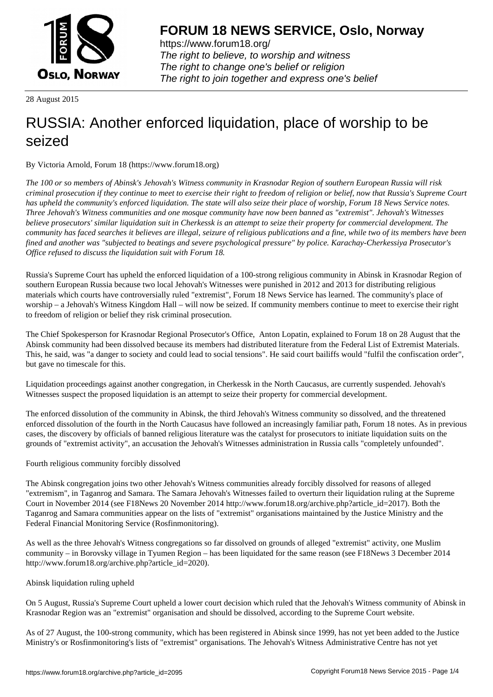

https://www.forum18.org/ The right to believe, to worship and witness The right to change one's belief or religion [The right to join together a](https://www.forum18.org/)nd express one's belief

28 August 2015

# [RUSSIA: Anoth](https://www.forum18.org)er enforced liquidation, place of worship to be seized

By Victoria Arnold, Forum 18 (https://www.forum18.org)

*The 100 or so members of Abinsk's Jehovah's Witness community in Krasnodar Region of southern European Russia will risk criminal prosecution if they continue to meet to exercise their right to freedom of religion or belief, now that Russia's Supreme Court has upheld the community's enforced liquidation. The state will also seize their place of worship, Forum 18 News Service notes. Three Jehovah's Witness communities and one mosque community have now been banned as "extremist". Jehovah's Witnesses believe prosecutors' similar liquidation suit in Cherkessk is an attempt to seize their property for commercial development. The community has faced searches it believes are illegal, seizure of religious publications and a fine, while two of its members have been fined and another was "subjected to beatings and severe psychological pressure" by police. Karachay-Cherkessiya Prosecutor's Office refused to discuss the liquidation suit with Forum 18.*

Russia's Supreme Court has upheld the enforced liquidation of a 100-strong religious community in Abinsk in Krasnodar Region of southern European Russia because two local Jehovah's Witnesses were punished in 2012 and 2013 for distributing religious materials which courts have controversially ruled "extremist", Forum 18 News Service has learned. The community's place of worship – a Jehovah's Witness Kingdom Hall – will now be seized. If community members continue to meet to exercise their right to freedom of religion or belief they risk criminal prosecution.

The Chief Spokesperson for Krasnodar Regional Prosecutor's Office, Anton Lopatin, explained to Forum 18 on 28 August that the Abinsk community had been dissolved because its members had distributed literature from the Federal List of Extremist Materials. This, he said, was "a danger to society and could lead to social tensions". He said court bailiffs would "fulfil the confiscation order", but gave no timescale for this.

Liquidation proceedings against another congregation, in Cherkessk in the North Caucasus, are currently suspended. Jehovah's Witnesses suspect the proposed liquidation is an attempt to seize their property for commercial development.

The enforced dissolution of the community in Abinsk, the third Jehovah's Witness community so dissolved, and the threatened enforced dissolution of the fourth in the North Caucasus have followed an increasingly familiar path, Forum 18 notes. As in previous cases, the discovery by officials of banned religious literature was the catalyst for prosecutors to initiate liquidation suits on the grounds of "extremist activity", an accusation the Jehovah's Witnesses administration in Russia calls "completely unfounded".

Fourth religious community forcibly dissolved

The Abinsk congregation joins two other Jehovah's Witness communities already forcibly dissolved for reasons of alleged "extremism", in Taganrog and Samara. The Samara Jehovah's Witnesses failed to overturn their liquidation ruling at the Supreme Court in November 2014 (see F18News 20 November 2014 http://www.forum18.org/archive.php?article\_id=2017). Both the Taganrog and Samara communities appear on the lists of "extremist" organisations maintained by the Justice Ministry and the Federal Financial Monitoring Service (Rosfinmonitoring).

As well as the three Jehovah's Witness congregations so far dissolved on grounds of alleged "extremist" activity, one Muslim community – in Borovsky village in Tyumen Region – has been liquidated for the same reason (see F18News 3 December 2014 http://www.forum18.org/archive.php?article\_id=2020).

## Abinsk liquidation ruling upheld

On 5 August, Russia's Supreme Court upheld a lower court decision which ruled that the Jehovah's Witness community of Abinsk in Krasnodar Region was an "extremist" organisation and should be dissolved, according to the Supreme Court website.

As of 27 August, the 100-strong community, which has been registered in Abinsk since 1999, has not yet been added to the Justice Ministry's or Rosfinmonitoring's lists of "extremist" organisations. The Jehovah's Witness Administrative Centre has not yet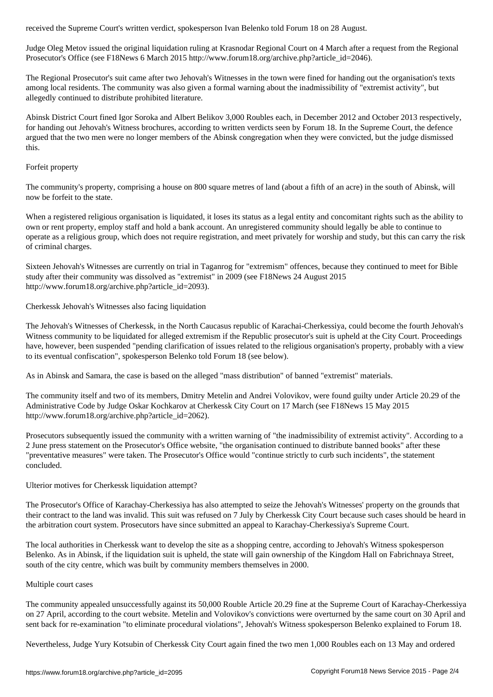Judge Oleg Metov issued the original liquidation ruling at Krasnodar Regional Court on 4 March after a request from the Regional Prosecutor's Office (see F18News 6 March 2015 http://www.forum18.org/archive.php?article\_id=2046).

The Regional Prosecutor's suit came after two Jehovah's Witnesses in the town were fined for handing out the organisation's texts among local residents. The community was also given a formal warning about the inadmissibility of "extremist activity", but allegedly continued to distribute prohibited literature.

Abinsk District Court fined Igor Soroka and Albert Belikov 3,000 Roubles each, in December 2012 and October 2013 respectively, for handing out Jehovah's Witness brochures, according to written verdicts seen by Forum 18. In the Supreme Court, the defence argued that the two men were no longer members of the Abinsk congregation when they were convicted, but the judge dismissed this.

#### Forfeit property

The community's property, comprising a house on 800 square metres of land (about a fifth of an acre) in the south of Abinsk, will now be forfeit to the state.

When a registered religious organisation is liquidated, it loses its status as a legal entity and concomitant rights such as the ability to own or rent property, employ staff and hold a bank account. An unregistered community should legally be able to continue to operate as a religious group, which does not require registration, and meet privately for worship and study, but this can carry the risk of criminal charges.

Sixteen Jehovah's Witnesses are currently on trial in Taganrog for "extremism" offences, because they continued to meet for Bible study after their community was dissolved as "extremist" in 2009 (see F18News 24 August 2015 http://www.forum18.org/archive.php?article\_id=2093).

Cherkessk Jehovah's Witnesses also facing liquidation

The Jehovah's Witnesses of Cherkessk, in the North Caucasus republic of Karachai-Cherkessiya, could become the fourth Jehovah's Witness community to be liquidated for alleged extremism if the Republic prosecutor's suit is upheld at the City Court. Proceedings have, however, been suspended "pending clarification of issues related to the religious organisation's property, probably with a view to its eventual confiscation", spokesperson Belenko told Forum 18 (see below).

As in Abinsk and Samara, the case is based on the alleged "mass distribution" of banned "extremist" materials.

The community itself and two of its members, Dmitry Metelin and Andrei Volovikov, were found guilty under Article 20.29 of the Administrative Code by Judge Oskar Kochkarov at Cherkessk City Court on 17 March (see F18News 15 May 2015 http://www.forum18.org/archive.php?article\_id=2062).

Prosecutors subsequently issued the community with a written warning of "the inadmissibility of extremist activity". According to a 2 June press statement on the Prosecutor's Office website, "the organisation continued to distribute banned books" after these "preventative measures" were taken. The Prosecutor's Office would "continue strictly to curb such incidents", the statement concluded.

Ulterior motives for Cherkessk liquidation attempt?

The Prosecutor's Office of Karachay-Cherkessiya has also attempted to seize the Jehovah's Witnesses' property on the grounds that their contract to the land was invalid. This suit was refused on 7 July by Cherkessk City Court because such cases should be heard in the arbitration court system. Prosecutors have since submitted an appeal to Karachay-Cherkessiya's Supreme Court.

The local authorities in Cherkessk want to develop the site as a shopping centre, according to Jehovah's Witness spokesperson Belenko. As in Abinsk, if the liquidation suit is upheld, the state will gain ownership of the Kingdom Hall on Fabrichnaya Street, south of the city centre, which was built by community members themselves in 2000.

#### Multiple court cases

The community appealed unsuccessfully against its 50,000 Rouble Article 20.29 fine at the Supreme Court of Karachay-Cherkessiya on 27 April, according to the court website. Metelin and Volovikov's convictions were overturned by the same court on 30 April and sent back for re-examination "to eliminate procedural violations", Jehovah's Witness spokesperson Belenko explained to Forum 18.

Nevertheless, Judge Yury Kotsubin of Cherkessk City Court again fined the two men 1,000 Roubles each on 13 May and ordered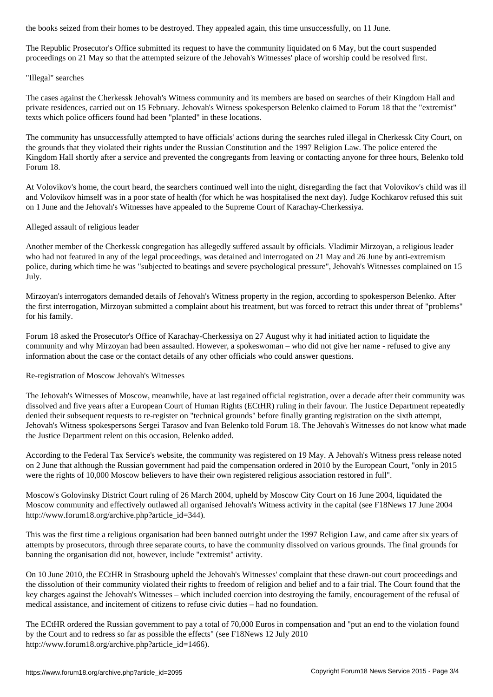The Republic Prosecutor's Office submitted its request to have the community liquidated on 6 May, but the court suspended proceedings on 21 May so that the attempted seizure of the Jehovah's Witnesses' place of worship could be resolved first.

### "Illegal" searches

The cases against the Cherkessk Jehovah's Witness community and its members are based on searches of their Kingdom Hall and private residences, carried out on 15 February. Jehovah's Witness spokesperson Belenko claimed to Forum 18 that the "extremist" texts which police officers found had been "planted" in these locations.

The community has unsuccessfully attempted to have officials' actions during the searches ruled illegal in Cherkessk City Court, on the grounds that they violated their rights under the Russian Constitution and the 1997 Religion Law. The police entered the Kingdom Hall shortly after a service and prevented the congregants from leaving or contacting anyone for three hours, Belenko told Forum 18.

At Volovikov's home, the court heard, the searchers continued well into the night, disregarding the fact that Volovikov's child was ill and Volovikov himself was in a poor state of health (for which he was hospitalised the next day). Judge Kochkarov refused this suit on 1 June and the Jehovah's Witnesses have appealed to the Supreme Court of Karachay-Cherkessiya.

### Alleged assault of religious leader

Another member of the Cherkessk congregation has allegedly suffered assault by officials. Vladimir Mirzoyan, a religious leader who had not featured in any of the legal proceedings, was detained and interrogated on 21 May and 26 June by anti-extremism police, during which time he was "subjected to beatings and severe psychological pressure", Jehovah's Witnesses complained on 15 July.

Mirzoyan's interrogators demanded details of Jehovah's Witness property in the region, according to spokesperson Belenko. After the first interrogation, Mirzoyan submitted a complaint about his treatment, but was forced to retract this under threat of "problems" for his family.

Forum 18 asked the Prosecutor's Office of Karachay-Cherkessiya on 27 August why it had initiated action to liquidate the community and why Mirzoyan had been assaulted. However, a spokeswoman – who did not give her name - refused to give any information about the case or the contact details of any other officials who could answer questions.

### Re-registration of Moscow Jehovah's Witnesses

The Jehovah's Witnesses of Moscow, meanwhile, have at last regained official registration, over a decade after their community was dissolved and five years after a European Court of Human Rights (ECtHR) ruling in their favour. The Justice Department repeatedly denied their subsequent requests to re-register on "technical grounds" before finally granting registration on the sixth attempt, Jehovah's Witness spokespersons Sergei Tarasov and Ivan Belenko told Forum 18. The Jehovah's Witnesses do not know what made the Justice Department relent on this occasion, Belenko added.

According to the Federal Tax Service's website, the community was registered on 19 May. A Jehovah's Witness press release noted on 2 June that although the Russian government had paid the compensation ordered in 2010 by the European Court, "only in 2015 were the rights of 10,000 Moscow believers to have their own registered religious association restored in full".

Moscow's Golovinsky District Court ruling of 26 March 2004, upheld by Moscow City Court on 16 June 2004, liquidated the Moscow community and effectively outlawed all organised Jehovah's Witness activity in the capital (see F18News 17 June 2004 http://www.forum18.org/archive.php?article\_id=344).

This was the first time a religious organisation had been banned outright under the 1997 Religion Law, and came after six years of attempts by prosecutors, through three separate courts, to have the community dissolved on various grounds. The final grounds for banning the organisation did not, however, include "extremist" activity.

On 10 June 2010, the ECtHR in Strasbourg upheld the Jehovah's Witnesses' complaint that these drawn-out court proceedings and the dissolution of their community violated their rights to freedom of religion and belief and to a fair trial. The Court found that the key charges against the Jehovah's Witnesses – which included coercion into destroying the family, encouragement of the refusal of medical assistance, and incitement of citizens to refuse civic duties – had no foundation.

The ECtHR ordered the Russian government to pay a total of 70,000 Euros in compensation and "put an end to the violation found by the Court and to redress so far as possible the effects" (see F18News 12 July 2010 http://www.forum18.org/archive.php?article\_id=1466).